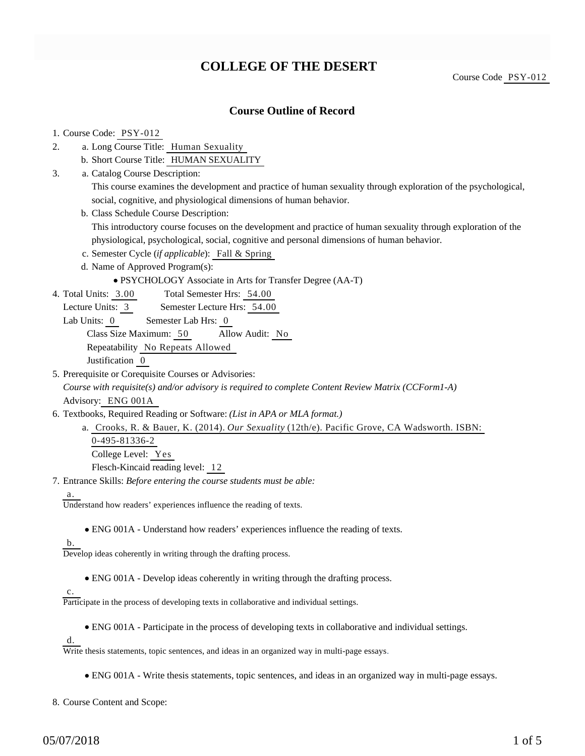# **COLLEGE OF THE DESERT**

Course Code PSY-012

### **Course Outline of Record**

#### 1. Course Code: PSY-012

- a. Long Course Title: Human Sexuality 2.
	- b. Short Course Title: HUMAN SEXUALITY
- Catalog Course Description: a. 3.

This course examines the development and practice of human sexuality through exploration of the psychological, social, cognitive, and physiological dimensions of human behavior.

b. Class Schedule Course Description:

This introductory course focuses on the development and practice of human sexuality through exploration of the physiological, psychological, social, cognitive and personal dimensions of human behavior.

- c. Semester Cycle (*if applicable*): Fall & Spring
- d. Name of Approved Program(s):
	- PSYCHOLOGY Associate in Arts for Transfer Degree (AA-T)
- Total Semester Hrs: 54.00 4. Total Units: 3.00
	- Lecture Units: 3 Semester Lecture Hrs: 54.00
	- Lab Units: 0 Semester Lab Hrs: 0

Class Size Maximum: 50 Allow Audit: No

Repeatability No Repeats Allowed

Justification 0

5. Prerequisite or Corequisite Courses or Advisories:

*Course with requisite(s) and/or advisory is required to complete Content Review Matrix (CCForm1-A)* Advisory: ENG 001A

- 6. Textbooks, Required Reading or Software: (List in APA or MLA format.)
	- a. Crooks, R. & Bauer, K. (2014). *Our Sexuality* (12th/e). Pacific Grove, CA Wadsworth. ISBN: 0-495-81336-2 College Level: Yes Flesch-Kincaid reading level: 12

Entrance Skills: *Before entering the course students must be able:* 7.

#### a.

Understand how readers' experiences influence the reading of texts.

ENG 001A - Understand how readers' experiences influence the reading of texts.

b.

Develop ideas coherently in writing through the drafting process.

ENG 001A - Develop ideas coherently in writing through the drafting process.

#### c.

Participate in the process of developing texts in collaborative and individual settings.

ENG 001A - Participate in the process of developing texts in collaborative and individual settings.

d.

Write thesis statements, topic sentences, and ideas in an organized way in multi-page essays.

ENG 001A - Write thesis statements, topic sentences, and ideas in an organized way in multi-page essays.

8. Course Content and Scope: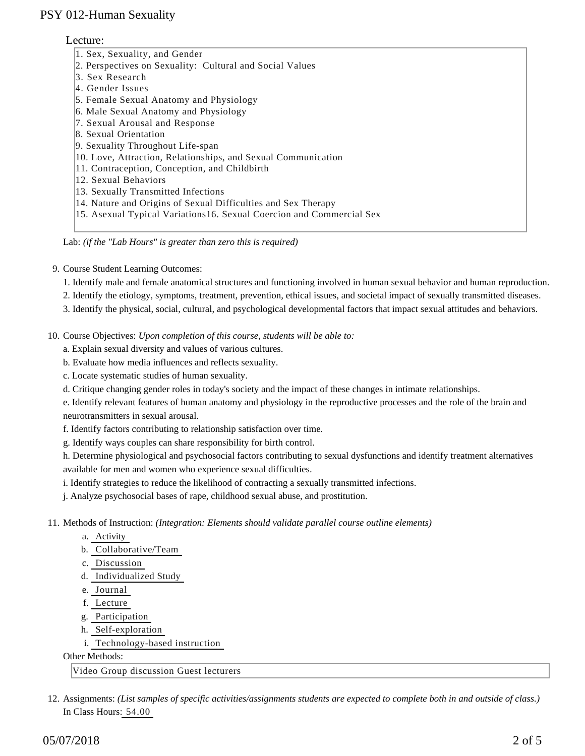### Lecture:

| 1. Sex, Sexuality, and Gender                                         |
|-----------------------------------------------------------------------|
| 2. Perspectives on Sexuality: Cultural and Social Values              |
| 3. Sex Research                                                       |
| 4. Gender Issues                                                      |
| 5. Female Sexual Anatomy and Physiology                               |
| 6. Male Sexual Anatomy and Physiology                                 |
| 7. Sexual Arousal and Response                                        |
| 8. Sexual Orientation                                                 |
| 9. Sexuality Throughout Life-span                                     |
| 10. Love, Attraction, Relationships, and Sexual Communication         |
| 11. Contraception, Conception, and Childbirth                         |
| 12. Sexual Behaviors                                                  |
| 13. Sexually Transmitted Infections                                   |
| 14. Nature and Origins of Sexual Difficulties and Sex Therapy         |
| 15. Asexual Typical Variations 16. Sexual Coercion and Commercial Sex |
|                                                                       |

Lab: *(if the "Lab Hours" is greater than zero this is required)*

9. Course Student Learning Outcomes:

- 1. Identify male and female anatomical structures and functioning involved in human sexual behavior and human reproduction.
- 2. Identify the etiology, symptoms, treatment, prevention, ethical issues, and societal impact of sexually transmitted diseases.
- 3. Identify the physical, social, cultural, and psychological developmental factors that impact sexual attitudes and behaviors.
- 10. Course Objectives: Upon completion of this course, students will be able to:
	- a. Explain sexual diversity and values of various cultures.
	- b. Evaluate how media influences and reflects sexuality.
	- c. Locate systematic studies of human sexuality.
	- d. Critique changing gender roles in today's society and the impact of these changes in intimate relationships.
	- e. Identify relevant features of human anatomy and physiology in the reproductive processes and the role of the brain and neurotransmitters in sexual arousal.
	- f. Identify factors contributing to relationship satisfaction over time.
	- g. Identify ways couples can share responsibility for birth control.

h. Determine physiological and psychosocial factors contributing to sexual dysfunctions and identify treatment alternatives available for men and women who experience sexual difficulties.

i. Identify strategies to reduce the likelihood of contracting a sexually transmitted infections.

j. Analyze psychosocial bases of rape, childhood sexual abuse, and prostitution.

- 11. Methods of Instruction: *(Integration: Elements should validate parallel course outline elements)* 
	- a. Activity
	- b. Collaborative/Team
	- c. Discussion
	- d. Individualized Study
	- e. Journal
	- f. Lecture
	- g. Participation
	- h. Self-exploration
	- i. Technology-based instruction

Other Methods:

Video Group discussion Guest lecturers

12. Assignments: (List samples of specific activities/assignments students are expected to complete both in and outside of class.) In Class Hours: 54.00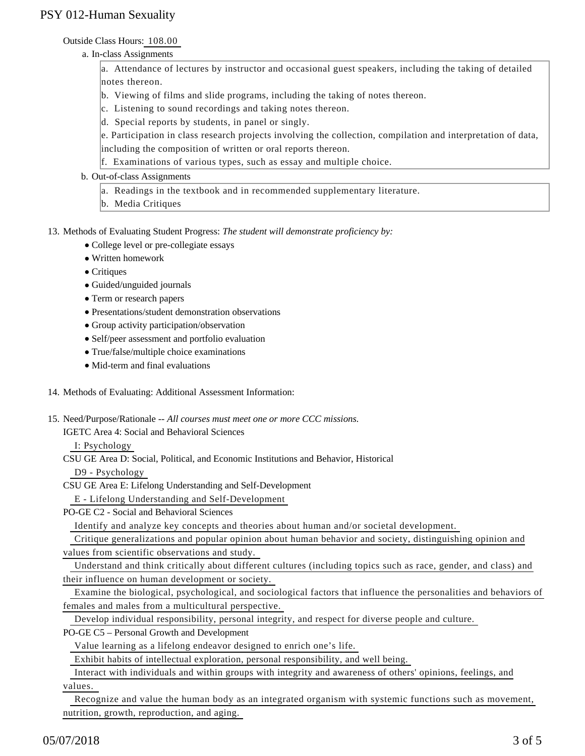### Outside Class Hours: 108.00

a. In-class Assignments

a. Attendance of lectures by instructor and occasional guest speakers, including the taking of detailed notes thereon.

- b. Viewing of films and slide programs, including the taking of notes thereon.
- c. Listening to sound recordings and taking notes thereon.
- d. Special reports by students, in panel or singly.

e. Participation in class research projects involving the collection, compilation and interpretation of data, including the composition of written or oral reports thereon.

- f. Examinations of various types, such as essay and multiple choice.
- b. Out-of-class Assignments
	- a. Readings in the textbook and in recommended supplementary literature.
	- b. Media Critiques

13. Methods of Evaluating Student Progress: The student will demonstrate proficiency by:

- College level or pre-collegiate essays
- Written homework
- Critiques
- Guided/unguided journals
- Term or research papers
- Presentations/student demonstration observations
- Group activity participation/observation
- Self/peer assessment and portfolio evaluation
- True/false/multiple choice examinations
- Mid-term and final evaluations

#### 14. Methods of Evaluating: Additional Assessment Information:

15. Need/Purpose/Rationale -- All courses must meet one or more CCC missions.

IGETC Area 4: Social and Behavioral Sciences

I: Psychology

CSU GE Area D: Social, Political, and Economic Institutions and Behavior, Historical

D9 - Psychology

CSU GE Area E: Lifelong Understanding and Self-Development

E - Lifelong Understanding and Self-Development

PO-GE C2 - Social and Behavioral Sciences

Identify and analyze key concepts and theories about human and/or societal development.

Critique generalizations and popular opinion about human behavior and society, distinguishing opinion and

values from scientific observations and study.

 Understand and think critically about different cultures (including topics such as race, gender, and class) and their influence on human development or society.

 Examine the biological, psychological, and sociological factors that influence the personalities and behaviors of females and males from a multicultural perspective.

Develop individual responsibility, personal integrity, and respect for diverse people and culture.

PO-GE C5 – Personal Growth and Development

Value learning as a lifelong endeavor designed to enrich one's life.

Exhibit habits of intellectual exploration, personal responsibility, and well being.

Interact with individuals and within groups with integrity and awareness of others' opinions, feelings, and

values.

 Recognize and value the human body as an integrated organism with systemic functions such as movement, nutrition, growth, reproduction, and aging.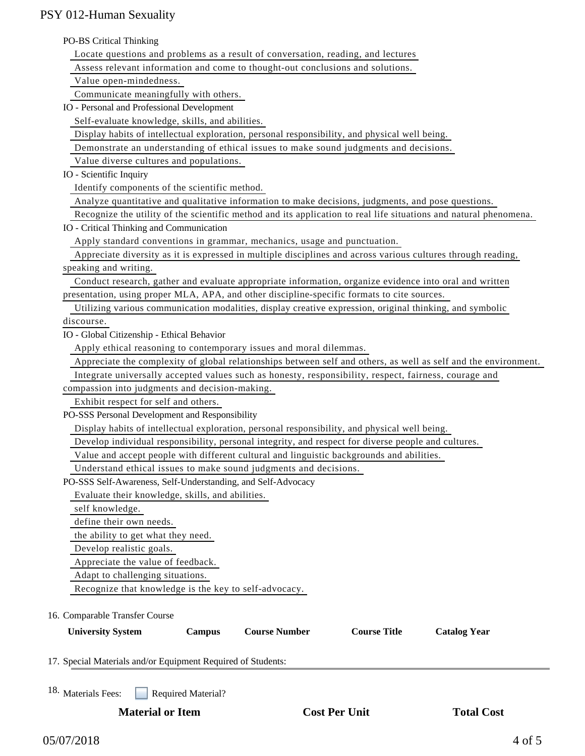#### PO-BS Critical Thinking

| Locate questions and problems as a result of conversation, reading, and lectures |  |  |
|----------------------------------------------------------------------------------|--|--|
|                                                                                  |  |  |

Assess relevant information and come to thought-out conclusions and solutions.

Value open-mindedness.

Communicate meaningfully with others.

IO - Personal and Professional Development

Self-evaluate knowledge, skills, and abilities.

Display habits of intellectual exploration, personal responsibility, and physical well being.

Demonstrate an understanding of ethical issues to make sound judgments and decisions.

Value diverse cultures and populations.

IO - Scientific Inquiry

Identify components of the scientific method.

Analyze quantitative and qualitative information to make decisions, judgments, and pose questions.

Recognize the utility of the scientific method and its application to real life situations and natural phenomena.

IO - Critical Thinking and Communication

Apply standard conventions in grammar, mechanics, usage and punctuation.

 Appreciate diversity as it is expressed in multiple disciplines and across various cultures through reading, speaking and writing.

 Conduct research, gather and evaluate appropriate information, organize evidence into oral and written presentation, using proper MLA, APA, and other discipline-specific formats to cite sources.

 Utilizing various communication modalities, display creative expression, original thinking, and symbolic discourse.

IO - Global Citizenship - Ethical Behavior

Apply ethical reasoning to contemporary issues and moral dilemmas.

Appreciate the complexity of global relationships between self and others, as well as self and the environment.

Integrate universally accepted values such as honesty, responsibility, respect, fairness, courage and

compassion into judgments and decision-making.

Exhibit respect for self and others.

PO-SSS Personal Development and Responsibility

Display habits of intellectual exploration, personal responsibility, and physical well being.

Develop individual responsibility, personal integrity, and respect for diverse people and cultures.

Value and accept people with different cultural and linguistic backgrounds and abilities.

Understand ethical issues to make sound judgments and decisions.

PO-SSS Self-Awareness, Self-Understanding, and Self-Advocacy

Evaluate their knowledge, skills, and abilities.

self knowledge.

define their own needs.

the ability to get what they need.

Develop realistic goals.

Appreciate the value of feedback.

Adapt to challenging situations.

Recognize that knowledge is the key to self-advocacy.

16. Comparable Transfer Course

| <b>University System</b>                                     | <b>Campus</b> | <b>Course Number</b> | <b>Course Title</b> | <b>Catalog Year</b> |  |
|--------------------------------------------------------------|---------------|----------------------|---------------------|---------------------|--|
| 17. Special Materials and/or Equipment Required of Students: |               |                      |                     |                     |  |
| $\sim$                                                       |               |                      |                     |                     |  |

18. Materials Fees: Required Material?

**Material or Item Cost Per Unit Total Cost Per Unit Total Cost Per Unit Cost Per Unit Cost Per Unit Cost Per Unit Cost Per Unit Cost Per Unit Cost Per Unit Cost Per Unit Cost Per Unit Cost Per Unit Cost Per Unit Cost Per U**